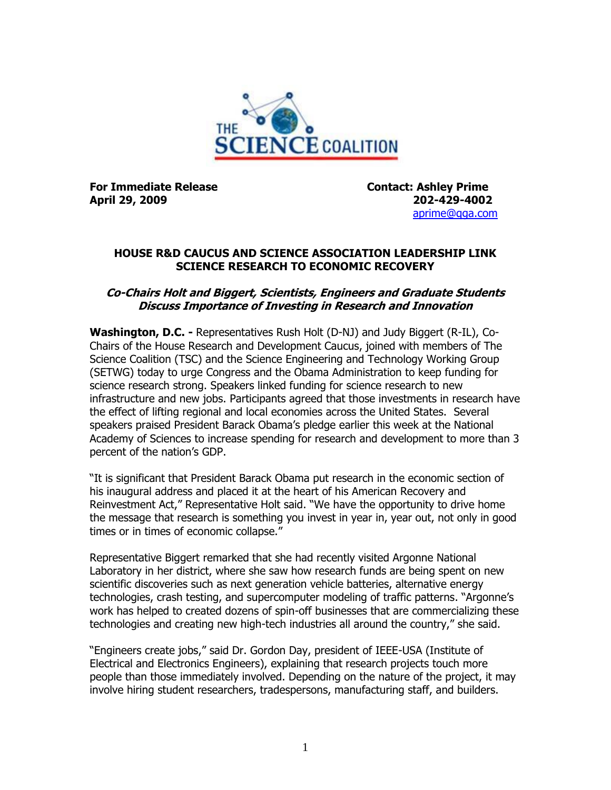

**For Immediate Release Contact: Ashley Prime April 29, 2009 202-429-4002**

[aprime@qga.com](mailto:aprime@qga.com)

## **HOUSE R&D CAUCUS AND SCIENCE ASSOCIATION LEADERSHIP LINK SCIENCE RESEARCH TO ECONOMIC RECOVERY**

## **Co-Chairs Holt and Biggert, Scientists, Engineers and Graduate Students Discuss Importance of Investing in Research and Innovation**

**Washington, D.C. -** Representatives Rush Holt (D-NJ) and Judy Biggert (R-IL), Co-Chairs of the House Research and Development Caucus, joined with members of The Science Coalition (TSC) and the Science Engineering and Technology Working Group (SETWG) today to urge Congress and the Obama Administration to keep funding for science research strong. Speakers linked funding for science research to new infrastructure and new jobs. Participants agreed that those investments in research have the effect of lifting regional and local economies across the United States. Several speakers praised President Barack Obama's pledge earlier this week at the National Academy of Sciences to increase spending for research and development to more than 3 percent of the nation's GDP.

"It is significant that President Barack Obama put research in the economic section of his inaugural address and placed it at the heart of his American Recovery and Reinvestment Act," Representative Holt said. "We have the opportunity to drive home the message that research is something you invest in year in, year out, not only in good times or in times of economic collapse."

Representative Biggert remarked that she had recently visited Argonne National Laboratory in her district, where she saw how research funds are being spent on new scientific discoveries such as next generation vehicle batteries, alternative energy technologies, crash testing, and supercomputer modeling of traffic patterns. "Argonne's work has helped to created dozens of spin-off businesses that are commercializing these technologies and creating new high-tech industries all around the country," she said.

"Engineers create jobs," said Dr. Gordon Day, president of IEEE-USA (Institute of Electrical and Electronics Engineers), explaining that research projects touch more people than those immediately involved. Depending on the nature of the project, it may involve hiring student researchers, tradespersons, manufacturing staff, and builders.